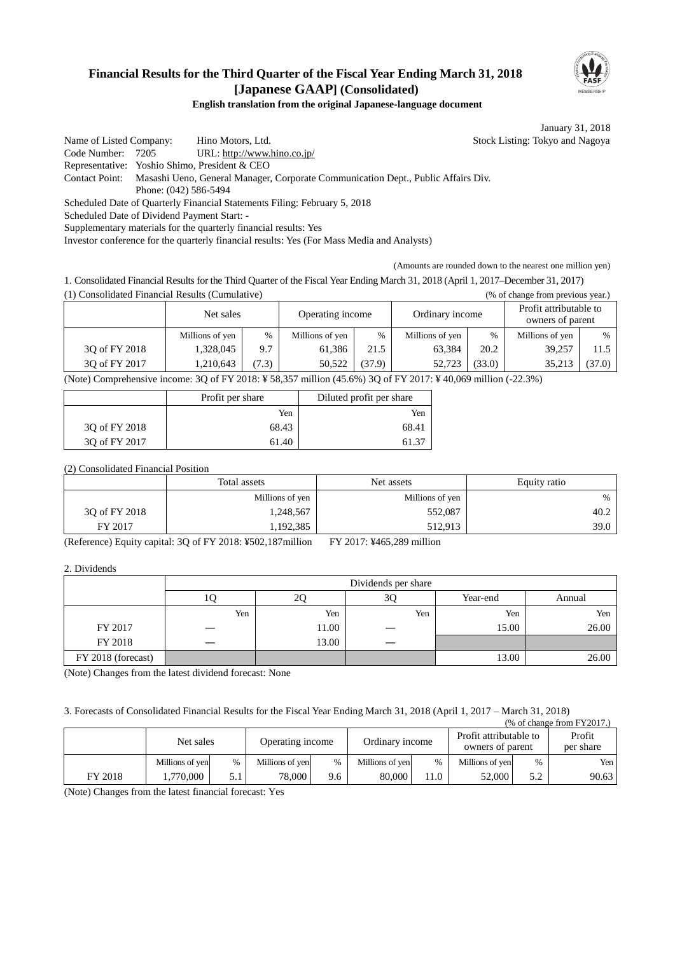## **Financial Results for the Third Quarter of the Fiscal Year Ending March 31, 2018 [Japanese GAAP] (Consolidated)**



**English translation from the original Japanese-language document**

January 31, 2018

Name of Listed Company: Hino Motors, Ltd. Stock Listing: Tokyo and Nagoya Code Number: 7205 URL: http://www.hino.co.jp/ Representative: Yoshio Shimo, President & CEO Contact Point: Masashi Ueno, General Manager, Corporate Communication Dept., Public Affairs Div. Phone: (042) 586-5494 Scheduled Date of Quarterly Financial Statements Filing: February 5, 2018 Scheduled Date of Dividend Payment Start: - Supplementary materials for the quarterly financial results: Yes

Investor conference for the quarterly financial results: Yes (For Mass Media and Analysts)

(Amounts are rounded down to the nearest one million yen)

1. Consolidated Financial Results for the Third Quarter of the Fiscal Year Ending March 31, 2018 (April 1, 2017–December 31, 2017) (1) Consolidated Financial Results (Cumulative) (% of change from previous year.)

|                                                                                                               | Net sales       |       | Operating income |        | Ordinary income |        | Profit attributable to<br>owners of parent |        |
|---------------------------------------------------------------------------------------------------------------|-----------------|-------|------------------|--------|-----------------|--------|--------------------------------------------|--------|
|                                                                                                               | Millions of yen | $\%$  | Millions of yen  | $\%$   | Millions of yen | $\%$   | Millions of yen                            | $\%$   |
| 30 of FY 2018                                                                                                 | 1,328,045       | 9.7   | 61.386           | 21.5   | 63.384          | 20.2   | 39.257                                     | 11.5   |
| 30 of FY 2017                                                                                                 | 1,210,643       | (7.3) | 50,522           | (37.9) | 52.723          | (33.0) | 35.213                                     | (37.0) |
| (Note) Comprehensive income: 3Q of FY 2018: ¥ 58,357 million (45.6%) 3Q of FY 2017: ¥ 40,069 million (-22.3%) |                 |       |                  |        |                 |        |                                            |        |

|               | Profit per share | Diluted profit per share |
|---------------|------------------|--------------------------|
|               | Yen              | Yen                      |
| 30 of FY 2018 | 68.43            | 68.41                    |
| 3Q of FY 2017 | 61.40            | 61.37                    |

#### (2) Consolidated Financial Position

|               | Total assets    | Net assets      |      |
|---------------|-----------------|-----------------|------|
|               | Millions of yen | Millions of yen | $\%$ |
| 30 of FY 2018 | 1,248,567       | 552,087         | 40.2 |
| FY 2017       | ,192,385        | 512,913         | 39.0 |

(Reference) Equity capital: 3Q of FY 2018: ¥502,187million FY 2017: ¥465,289 million

#### 2. Dividends

|                    |     |       | Dividends per share |          |        |
|--------------------|-----|-------|---------------------|----------|--------|
|                    |     | 20    | 3Q                  | Year-end | Annual |
|                    | Yen | Yen   | Yen                 | Yen      | Yen    |
| FY 2017            |     | 11.00 |                     | 15.00    | 26.00  |
| FY 2018            |     | 13.00 |                     |          |        |
| FY 2018 (forecast) |     |       |                     | 13.00    | 26.00  |

(Note) Changes from the latest dividend forecast: None

3. Forecasts of Consolidated Financial Results for the Fiscal Year Ending March 31, 2018 (April 1, 2017 – March 31, 2018)

| $%$ of change from $FY2017$ . |                 |      |                  |      |                 |      |                                            |      |                     |
|-------------------------------|-----------------|------|------------------|------|-----------------|------|--------------------------------------------|------|---------------------|
|                               | Net sales       |      | Operating income |      | Ordinary income |      | Profit attributable to<br>owners of parent |      | Profit<br>per share |
|                               | Millions of yen | $\%$ | Millions of yen  | $\%$ | Millions of yen | %    | Millions of yen                            | $\%$ | Yen                 |
| FY 2018                       | .770.000        |      | 78.000           | 9.6  | 80,000          | 11.0 | 52,000                                     | 5.2  | 90.63               |

(Note) Changes from the latest financial forecast: Yes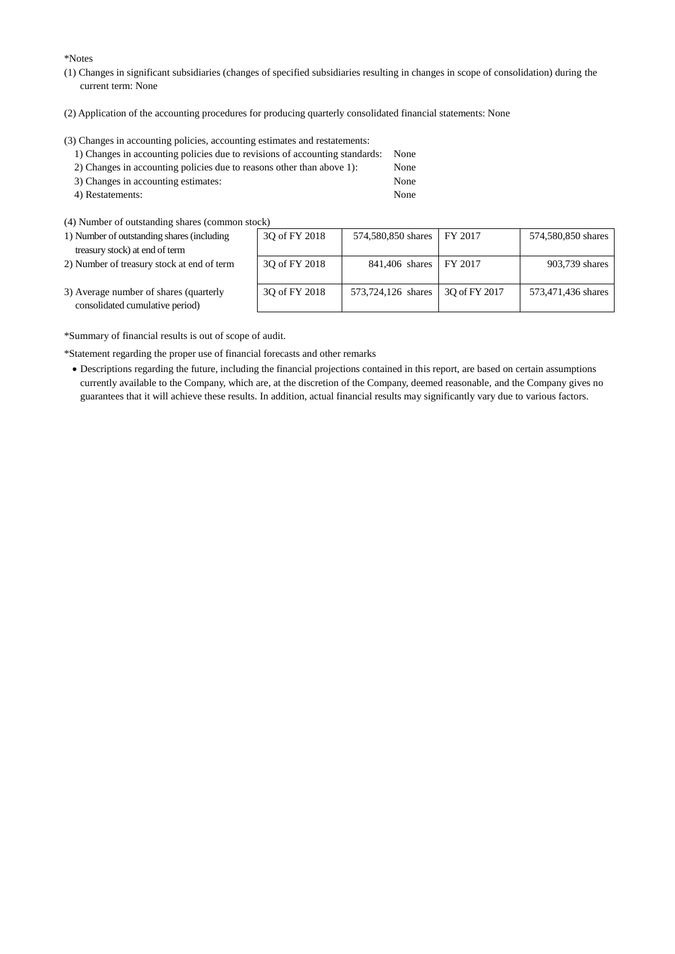\*Notes

- (1) Changes in significant subsidiaries (changes of specified subsidiaries resulting in changes in scope of consolidation) during the current term: None
- (2) Application of the accounting procedures for producing quarterly consolidated financial statements: None

(3) Changes in accounting policies, accounting estimates and restatements:

| 1) Changes in accounting policies due to revisions of accounting standards: None |      |
|----------------------------------------------------------------------------------|------|
| 2) Changes in accounting policies due to reasons other than above 1):            | None |
| 3) Changes in accounting estimates:                                              | None |

- 4) Restatements: None
- (4) Number of outstanding shares (common stock)
- 1) Number of outstanding shares (including treasury stock) at end of term
- 2) Number of treasury stock at end of term

| (CK)          |                    |               |                    |
|---------------|--------------------|---------------|--------------------|
| 3Q of FY 2018 | 574,580,850 shares | FY 2017       | 574,580,850 shares |
|               |                    |               |                    |
|               |                    |               |                    |
| 3Q of FY 2018 | 841,406 shares     | FY 2017       | 903,739 shares     |
|               |                    |               |                    |
|               |                    |               |                    |
| 3Q of FY 2018 | 573,724,126 shares | 3Q of FY 2017 | 573,471,436 shares |
|               |                    |               |                    |
|               |                    |               |                    |

3) Average number of shares (quarterly consolidated cumulative period)

\*Summary of financial results is out of scope of audit.

\*Statement regarding the proper use of financial forecasts and other remarks

 Descriptions regarding the future, including the financial projections contained in this report, are based on certain assumptions currently available to the Company, which are, at the discretion of the Company, deemed reasonable, and the Company gives no guarantees that it will achieve these results. In addition, actual financial results may significantly vary due to various factors.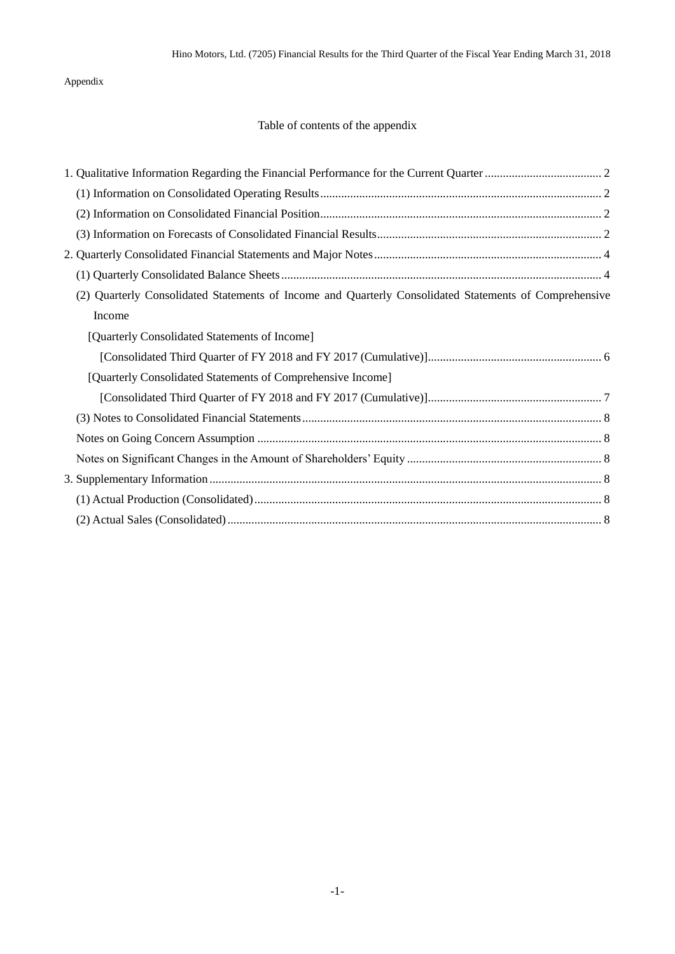## Appendix

## Table of contents of the appendix

| (2) Quarterly Consolidated Statements of Income and Quarterly Consolidated Statements of Comprehensive |
|--------------------------------------------------------------------------------------------------------|
| Income                                                                                                 |
| [Quarterly Consolidated Statements of Income]                                                          |
|                                                                                                        |
| [Quarterly Consolidated Statements of Comprehensive Income]                                            |
|                                                                                                        |
|                                                                                                        |
|                                                                                                        |
|                                                                                                        |
|                                                                                                        |
|                                                                                                        |
|                                                                                                        |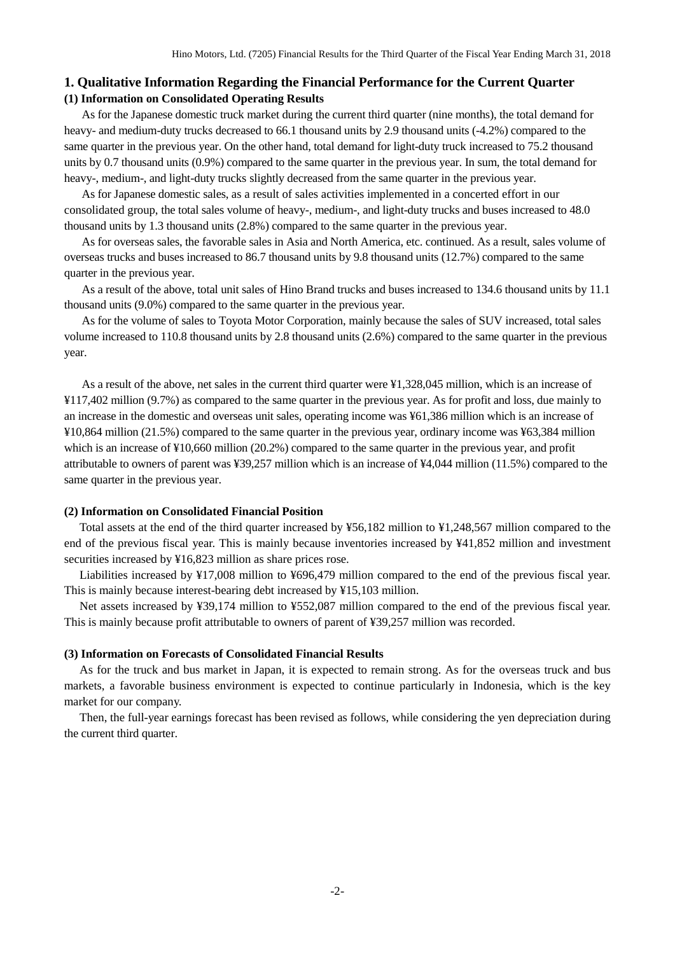## <span id="page-3-1"></span><span id="page-3-0"></span>**1. Qualitative Information Regarding the Financial Performance for the Current Quarter (1) Information on Consolidated Operating Results**

As for the Japanese domestic truck market during the current third quarter (nine months), the total demand for heavy- and medium-duty trucks decreased to 66.1 thousand units by 2.9 thousand units (-4.2%) compared to the same quarter in the previous year. On the other hand, total demand for light-duty truck increased to 75.2 thousand units by 0.7 thousand units (0.9%) compared to the same quarter in the previous year. In sum, the total demand for heavy-, medium-, and light-duty trucks slightly decreased from the same quarter in the previous year.

As for Japanese domestic sales, as a result of sales activities implemented in a concerted effort in our consolidated group, the total sales volume of heavy-, medium-, and light-duty trucks and buses increased to 48.0 thousand units by 1.3 thousand units (2.8%) compared to the same quarter in the previous year.

As for overseas sales, the favorable sales in Asia and North America, etc. continued. As a result, sales volume of overseas trucks and buses increased to 86.7 thousand units by 9.8 thousand units (12.7%) compared to the same quarter in the previous year.

As a result of the above, total unit sales of Hino Brand trucks and buses increased to 134.6 thousand units by 11.1 thousand units (9.0%) compared to the same quarter in the previous year.

As for the volume of sales to Toyota Motor Corporation, mainly because the sales of SUV increased, total sales volume increased to 110.8 thousand units by 2.8 thousand units (2.6%) compared to the same quarter in the previous year.

As a result of the above, net sales in the current third quarter were ¥1,328,045 million, which is an increase of ¥117,402 million (9.7%) as compared to the same quarter in the previous year. As for profit and loss, due mainly to an increase in the domestic and overseas unit sales, operating income was ¥61,386 million which is an increase of ¥10,864 million (21.5%) compared to the same quarter in the previous year, ordinary income was ¥63,384 million which is an increase of  $\text{\textless{}10,660}$  million (20.2%) compared to the same quarter in the previous year, and profit attributable to owners of parent was ¥39,257 million which is an increase of ¥4,044 million (11.5%) compared to the same quarter in the previous year.

#### <span id="page-3-2"></span>**(2) Information on Consolidated Financial Position**

Total assets at the end of the third quarter increased by ¥56,182 million to ¥1,248,567 million compared to the end of the previous fiscal year. This is mainly because inventories increased by ¥41,852 million and investment securities increased by ¥16,823 million as share prices rose.

Liabilities increased by ¥17,008 million to ¥696,479 million compared to the end of the previous fiscal year. This is mainly because interest-bearing debt increased by ¥15,103 million.

Net assets increased by ¥39,174 million to ¥552,087 million compared to the end of the previous fiscal year. This is mainly because profit attributable to owners of parent of ¥39,257 million was recorded.

#### <span id="page-3-3"></span>**(3) Information on Forecasts of Consolidated Financial Results**

As for the truck and bus market in Japan, it is expected to remain strong. As for the overseas truck and bus markets, a favorable business environment is expected to continue particularly in Indonesia, which is the key market for our company.

Then, the full-year earnings forecast has been revised as follows, while considering the yen depreciation during the current third quarter.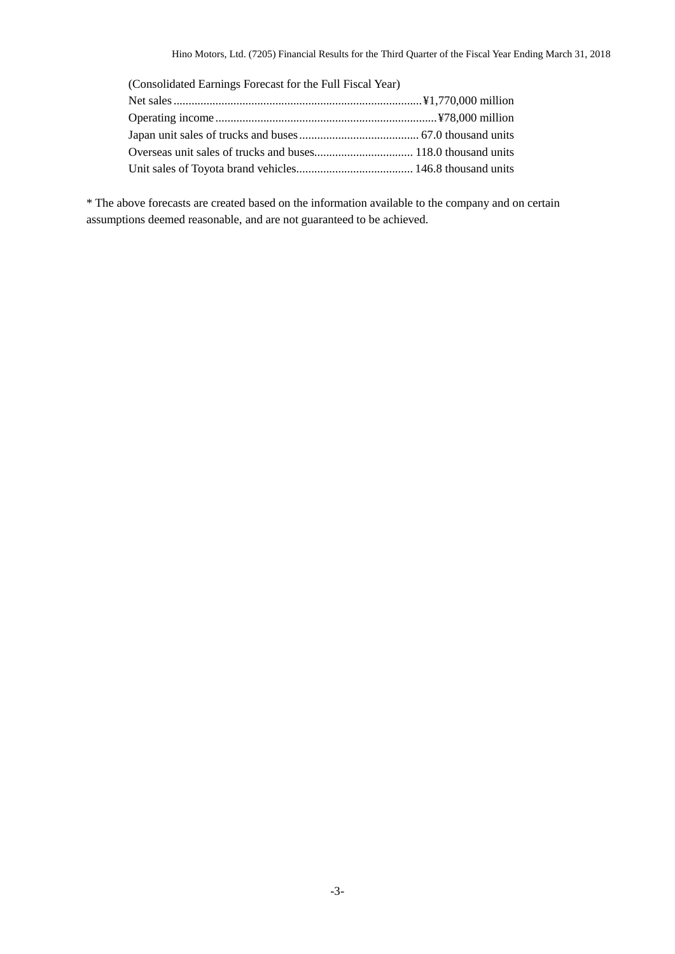| (Consolidated Earnings Forecast for the Full Fiscal Year) |  |
|-----------------------------------------------------------|--|
|                                                           |  |
|                                                           |  |
|                                                           |  |
|                                                           |  |
|                                                           |  |

\* The above forecasts are created based on the information available to the company and on certain assumptions deemed reasonable, and are not guaranteed to be achieved.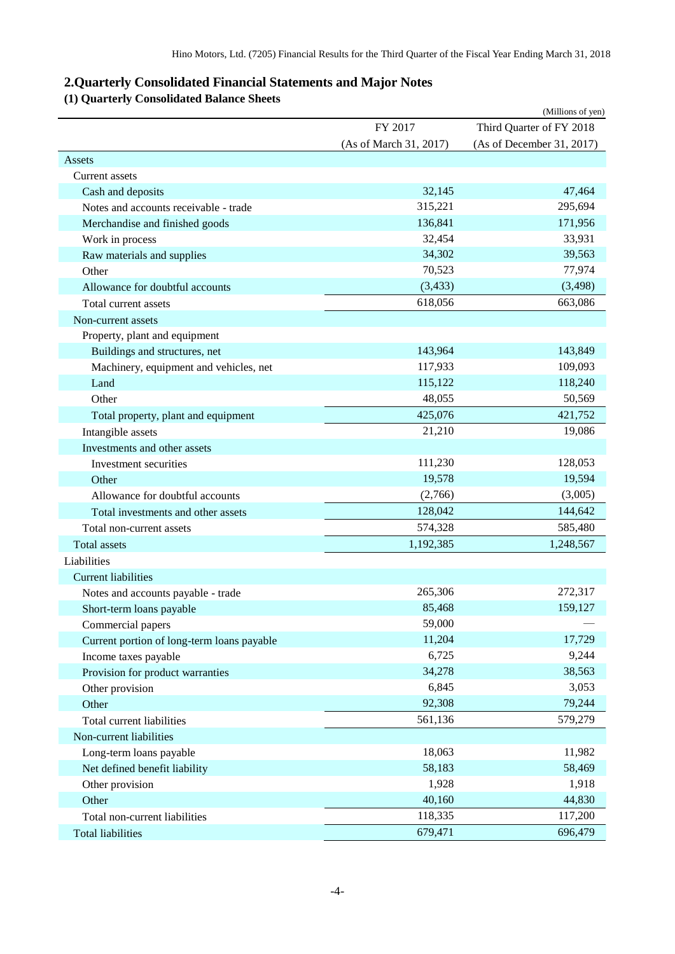# <span id="page-5-0"></span>**2.Quarterly Consolidated Financial Statements and Major Notes**

# <span id="page-5-1"></span>**(1) Quarterly Consolidated Balance Sheets**

|                                            |                        | (Millions of yen)         |
|--------------------------------------------|------------------------|---------------------------|
|                                            | FY 2017                | Third Quarter of FY 2018  |
|                                            | (As of March 31, 2017) | (As of December 31, 2017) |
| Assets                                     |                        |                           |
| <b>Current assets</b>                      |                        |                           |
| Cash and deposits                          | 32,145                 | 47,464                    |
| Notes and accounts receivable - trade      | 315,221                | 295,694                   |
| Merchandise and finished goods             | 136,841                | 171,956                   |
| Work in process                            | 32,454                 | 33,931                    |
| Raw materials and supplies                 | 34,302                 | 39,563                    |
| Other                                      | 70,523                 | 77,974                    |
| Allowance for doubtful accounts            | (3, 433)               | (3, 498)                  |
| Total current assets                       | 618,056                | 663,086                   |
| Non-current assets                         |                        |                           |
| Property, plant and equipment              |                        |                           |
| Buildings and structures, net              | 143,964                | 143,849                   |
| Machinery, equipment and vehicles, net     | 117,933                | 109,093                   |
| Land                                       | 115,122                | 118,240                   |
| Other                                      | 48,055                 | 50,569                    |
| Total property, plant and equipment        | 425,076                | 421,752                   |
| Intangible assets                          | 21,210                 | 19,086                    |
| Investments and other assets               |                        |                           |
| Investment securities                      | 111,230                | 128,053                   |
| Other                                      | 19,578                 | 19,594                    |
| Allowance for doubtful accounts            | (2,766)                | (3,005)                   |
| Total investments and other assets         | 128,042                | 144,642                   |
| Total non-current assets                   | 574,328                | 585,480                   |
| <b>Total</b> assets                        | 1,192,385              | 1,248,567                 |
| Liabilities                                |                        |                           |
| <b>Current liabilities</b>                 |                        |                           |
| Notes and accounts payable - trade         | 265,306                | 272,317                   |
| Short-term loans payable                   | 85,468                 | 159,127                   |
| Commercial papers                          | 59,000                 |                           |
| Current portion of long-term loans payable | 11,204                 | 17,729                    |
| Income taxes payable                       | 6,725                  | 9,244                     |
| Provision for product warranties           | 34,278                 | 38,563                    |
| Other provision                            | 6,845                  | 3,053                     |
| Other                                      | 92,308                 | 79,244                    |
| Total current liabilities                  | 561,136                | 579,279                   |
| Non-current liabilities                    |                        |                           |
|                                            | 18,063                 | 11,982                    |
| Long-term loans payable                    | 58,183                 | 58,469                    |
| Net defined benefit liability              |                        |                           |
| Other provision                            | 1,928                  | 1,918                     |
| Other                                      | 40,160                 | 44,830                    |
| Total non-current liabilities              | 118,335                | 117,200                   |
| <b>Total liabilities</b>                   | 679,471                | 696,479                   |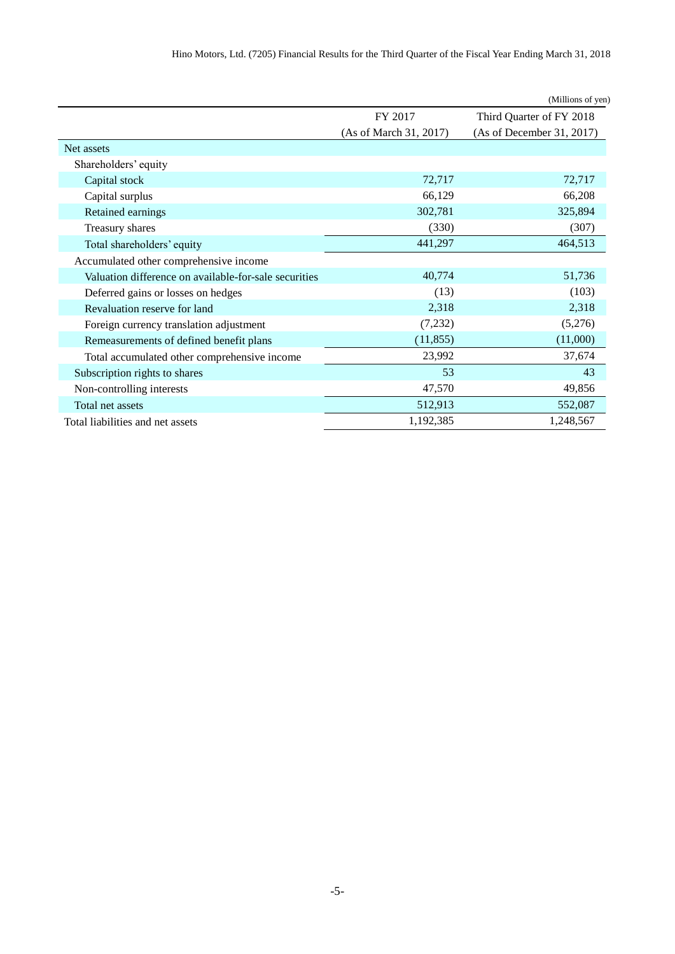| Hino Motors, Ltd. (7205) Financial Results for the Third Quarter of the Fiscal Year Ending March 31, 2018 |  |  |  |  |  |  |
|-----------------------------------------------------------------------------------------------------------|--|--|--|--|--|--|
|-----------------------------------------------------------------------------------------------------------|--|--|--|--|--|--|

|                                                       |                        | (Millions of yen)         |
|-------------------------------------------------------|------------------------|---------------------------|
|                                                       | FY 2017                | Third Quarter of FY 2018  |
|                                                       | (As of March 31, 2017) | (As of December 31, 2017) |
| Net assets                                            |                        |                           |
| Shareholders' equity                                  |                        |                           |
| Capital stock                                         | 72,717                 | 72,717                    |
| Capital surplus                                       | 66,129                 | 66,208                    |
| Retained earnings                                     | 302,781                | 325,894                   |
| Treasury shares                                       | (330)                  | (307)                     |
| Total shareholders' equity                            | 441,297                | 464,513                   |
| Accumulated other comprehensive income                |                        |                           |
| Valuation difference on available-for-sale securities | 40,774                 | 51,736                    |
| Deferred gains or losses on hedges                    | (13)                   | (103)                     |
| Revaluation reserve for land                          | 2,318                  | 2,318                     |
| Foreign currency translation adjustment               | (7, 232)               | (5,276)                   |
| Remeasurements of defined benefit plans               | (11, 855)              | (11,000)                  |
| Total accumulated other comprehensive income          | 23,992                 | 37,674                    |
| Subscription rights to shares                         | 53                     | 43                        |
| Non-controlling interests                             | 47,570                 | 49,856                    |
| Total net assets                                      | 512,913                | 552,087                   |
| Total liabilities and net assets                      | 1,192,385              | 1,248,567                 |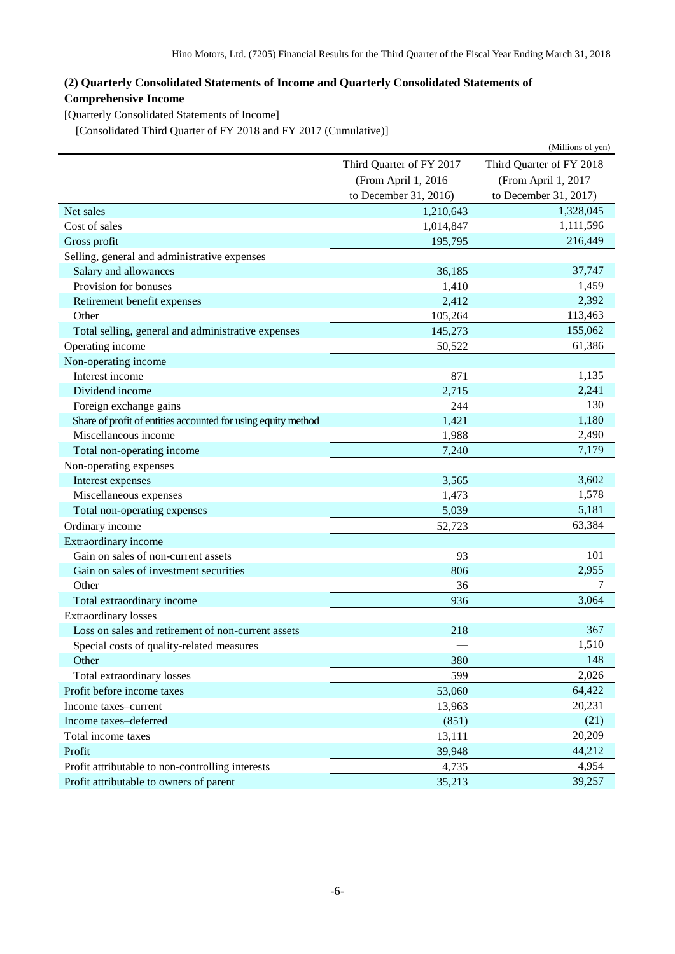## <span id="page-7-0"></span>**(2) Quarterly Consolidated Statements of Income and Quarterly Consolidated Statements of Comprehensive Income**

<span id="page-7-1"></span>[Quarterly Consolidated Statements of Income]

<span id="page-7-2"></span>[Consolidated Third Quarter of FY 2018 and FY 2017 (Cumulative)]

|                                                               |                          | (Millions of yen)        |  |
|---------------------------------------------------------------|--------------------------|--------------------------|--|
|                                                               | Third Quarter of FY 2017 | Third Quarter of FY 2018 |  |
|                                                               | (From April 1, 2016      | (From April 1, 2017      |  |
|                                                               | to December 31, 2016)    | to December 31, 2017)    |  |
| Net sales                                                     | 1,210,643                | 1,328,045                |  |
| Cost of sales                                                 | 1,014,847                | 1,111,596                |  |
| Gross profit                                                  | 195,795                  | 216,449                  |  |
| Selling, general and administrative expenses                  |                          |                          |  |
| Salary and allowances                                         | 36,185                   | 37,747                   |  |
| Provision for bonuses                                         | 1,410                    | 1,459                    |  |
| Retirement benefit expenses                                   | 2,412                    | 2,392                    |  |
| Other                                                         | 105,264                  | 113,463                  |  |
| Total selling, general and administrative expenses            | 145,273                  | 155,062                  |  |
| Operating income                                              | 50,522                   | 61,386                   |  |
| Non-operating income                                          |                          |                          |  |
| Interest income                                               | 871                      | 1,135                    |  |
| Dividend income                                               | 2,715                    | 2,241                    |  |
| Foreign exchange gains                                        | 244                      | 130                      |  |
| Share of profit of entities accounted for using equity method | 1,421                    | 1,180                    |  |
| Miscellaneous income                                          | 1,988                    | 2,490                    |  |
| Total non-operating income                                    | 7,240                    | 7,179                    |  |
| Non-operating expenses                                        |                          |                          |  |
| Interest expenses                                             | 3,565                    | 3,602                    |  |
| Miscellaneous expenses                                        | 1,473                    | 1,578                    |  |
| Total non-operating expenses                                  | 5,039                    | 5,181                    |  |
| Ordinary income                                               | 52,723                   | 63,384                   |  |
| Extraordinary income                                          |                          |                          |  |
| Gain on sales of non-current assets                           | 93                       | 101                      |  |
| Gain on sales of investment securities                        | 806                      | 2,955                    |  |
| Other                                                         | 36                       |                          |  |
| Total extraordinary income                                    | 936                      | 3,064                    |  |
| <b>Extraordinary losses</b>                                   |                          |                          |  |
| Loss on sales and retirement of non-current assets            | 218                      | 367                      |  |
| Special costs of quality-related measures                     |                          | 1,510                    |  |
| Other                                                         | 380                      | 148                      |  |
| Total extraordinary losses                                    | 599                      | 2,026                    |  |
| Profit before income taxes                                    | 53,060                   | 64,422                   |  |
| Income taxes-current                                          | 13,963                   | 20,231                   |  |
| Income taxes-deferred                                         | (851)                    | (21)                     |  |
| Total income taxes                                            | 13,111                   | 20,209                   |  |
| Profit                                                        | 39,948                   | 44,212                   |  |
| Profit attributable to non-controlling interests              | 4,735                    | 4,954                    |  |
| Profit attributable to owners of parent                       | 35,213                   | 39,257                   |  |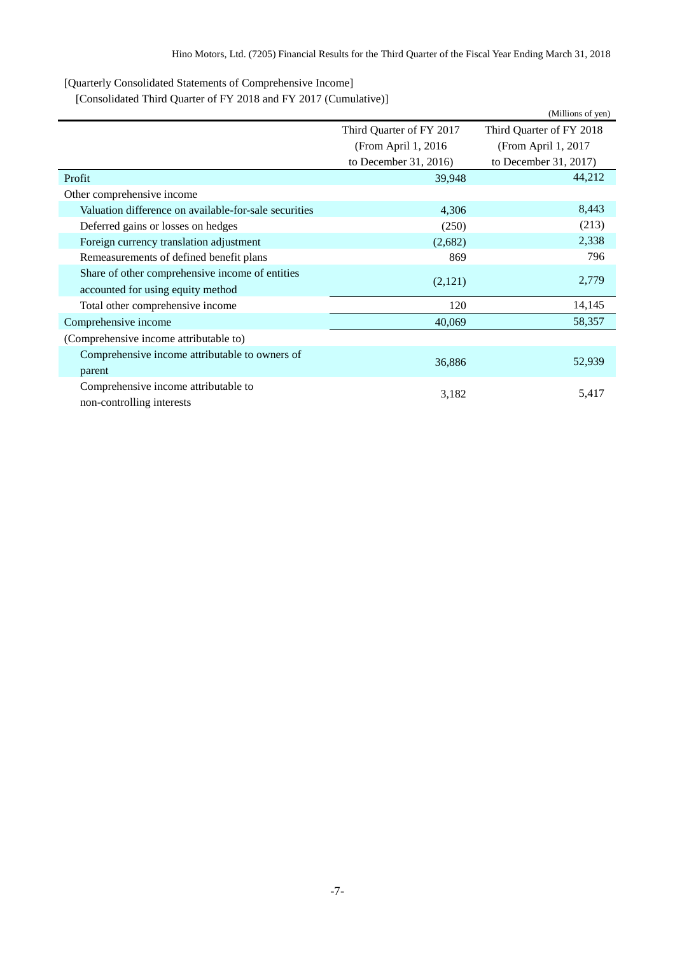<span id="page-8-0"></span>[Quarterly Consolidated Statements of Comprehensive Income]

<span id="page-8-1"></span>[Consolidated Third Quarter of FY 2018 and FY 2017 (Cumulative)]

|                                                       |                          | (Millions of yen)        |  |
|-------------------------------------------------------|--------------------------|--------------------------|--|
|                                                       | Third Quarter of FY 2017 | Third Quarter of FY 2018 |  |
|                                                       | (From April 1, 2016)     | (From April 1, 2017)     |  |
|                                                       | to December 31, 2016)    | to December 31, 2017)    |  |
| Profit                                                | 39,948                   | 44,212                   |  |
| Other comprehensive income                            |                          |                          |  |
| Valuation difference on available-for-sale securities | 4,306                    | 8,443                    |  |
| Deferred gains or losses on hedges                    | (250)                    | (213)                    |  |
| Foreign currency translation adjustment               | (2,682)                  | 2,338                    |  |
| Remeasurements of defined benefit plans               | 869                      | 796                      |  |
| Share of other comprehensive income of entities       |                          | 2,779                    |  |
| accounted for using equity method                     | (2,121)                  |                          |  |
| Total other comprehensive income                      | 120                      | 14,145                   |  |
| Comprehensive income                                  | 40,069                   | 58,357                   |  |
| (Comprehensive income attributable to)                |                          |                          |  |
| Comprehensive income attributable to owners of        |                          |                          |  |
| parent                                                | 36,886                   | 52,939                   |  |
| Comprehensive income attributable to                  |                          | 5,417                    |  |
| non-controlling interests                             | 3,182                    |                          |  |